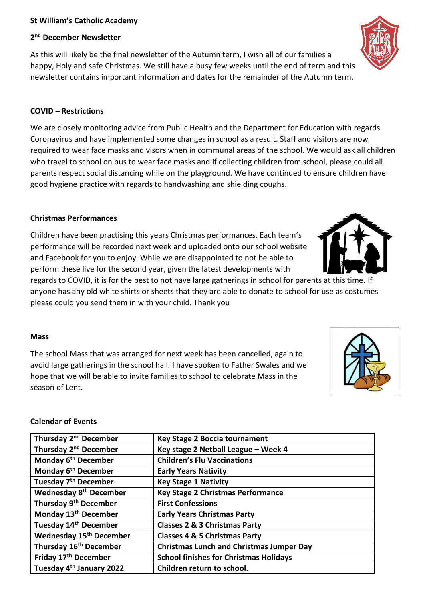#### **St William's Catholic Academy**

# **2 nd December Newsletter**

As this will likely be the final newsletter of the Autumn term, I wish all of our families a happy, Holy and safe Christmas. We still have a busy few weeks until the end of term and this newsletter contains important information and dates for the remainder of the Autumn term.

### **COVID – Restrictions**

We are closely monitoring advice from Public Health and the Department for Education with regards Coronavirus and have implemented some changes in school as a result. Staff and visitors are now required to wear face masks and visors when in communal areas of the school. We would ask all children who travel to school on bus to wear face masks and if collecting children from school, please could all parents respect social distancing while on the playground. We have continued to ensure children have good hygiene practice with regards to handwashing and shielding coughs.

## **Christmas Performances**

Children have been practising this years Christmas performances. Each team's performance will be recorded next week and uploaded onto our school website and Facebook for you to enjoy. While we are disappointed to not be able to perform these live for the second year, given the latest developments with

regards to COVID, it is for the best to not have large gatherings in school for parents at this time. If anyone has any old white shirts or sheets that they are able to donate to school for use as costumes please could you send them in with your child. Thank you

### **Mass**

The school Mass that was arranged for next week has been cancelled, again to avoid large gatherings in the school hall. I have spoken to Father Swales and we hope that we will be able to invite families to school to celebrate Mass in the season of Lent.

#### **Calendar of Events**

| Thursday 2 <sup>nd</sup> December        | <b>Key Stage 2 Boccia tournament</b>            |  |
|------------------------------------------|-------------------------------------------------|--|
| Thursday 2 <sup>nd</sup> December        | Key stage 2 Netball League - Week 4             |  |
| Monday 6 <sup>th</sup> December          | <b>Children's Flu Vaccinations</b>              |  |
| Monday 6 <sup>th</sup> December          | <b>Early Years Nativity</b>                     |  |
| Tuesday 7 <sup>th</sup> December         | <b>Key Stage 1 Nativity</b>                     |  |
| <b>Wednesday 8<sup>th</sup> December</b> | <b>Key Stage 2 Christmas Performance</b>        |  |
| Thursday 9 <sup>th</sup> December        | <b>First Confessions</b>                        |  |
| Monday 13 <sup>th</sup> December         | <b>Early Years Christmas Party</b>              |  |
| Tuesday 14 <sup>th</sup> December        | <b>Classes 2 &amp; 3 Christmas Party</b>        |  |
| <b>Wednesday 15th December</b>           | <b>Classes 4 &amp; 5 Christmas Party</b>        |  |
| Thursday 16 <sup>th</sup> December       | <b>Christmas Lunch and Christmas Jumper Day</b> |  |
| Friday 17 <sup>th</sup> December         | <b>School finishes for Christmas Holidays</b>   |  |
| Tuesday 4 <sup>th</sup> January 2022     | Children return to school.                      |  |